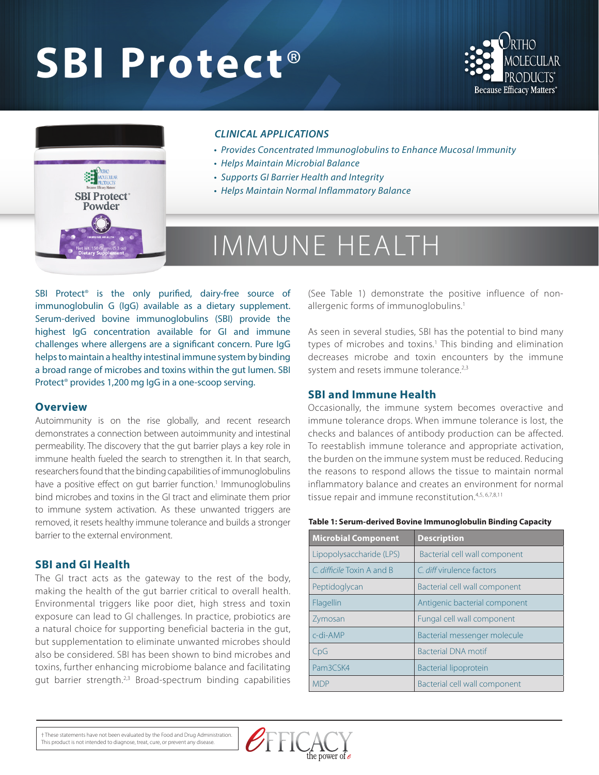# **SBI Protect**®





### *CLINICAL APPLICATIONS*

- *Provides Concentrated Immunoglobulins to Enhance Mucosal Immunity*
- *Helps Maintain Microbial Balance*
- *Supports GI Barrier Health and Integrity*
- *Helps Maintain Normal Inflammatory Balance*

# IMMUNE HEALTH

SBI Protect<sup>®</sup> is the only purified, dairy-free source of immunoglobulin G (IgG) available as a dietary supplement. Serum-derived bovine immunoglobulins (SBI) provide the highest IgG concentration available for GI and immune challenges where allergens are a significant concern. Pure IgG helps to maintain a healthy intestinal immune system by binding a broad range of microbes and toxins within the gut lumen. SBI Protect® provides 1,200 mg IgG in a one-scoop serving.

#### **Overview**

Autoimmunity is on the rise globally, and recent research demonstrates a connection between autoimmunity and intestinal permeability. The discovery that the gut barrier plays a key role in immune health fueled the search to strengthen it. In that search, researchers found that the binding capabilities of immunoglobulins have a positive effect on gut barrier function.<sup>1</sup> Immunoglobulins bind microbes and toxins in the GI tract and eliminate them prior to immune system activation. As these unwanted triggers are removed, it resets healthy immune tolerance and builds a stronger barrier to the external environment.

## **SBI and GI Health**

The GI tract acts as the gateway to the rest of the body, making the health of the gut barrier critical to overall health. Environmental triggers like poor diet, high stress and toxin exposure can lead to GI challenges. In practice, probiotics are a natural choice for supporting beneficial bacteria in the gut, but supplementation to eliminate unwanted microbes should also be considered. SBI has been shown to bind microbes and toxins, further enhancing microbiome balance and facilitating gut barrier strength.<sup>2,3</sup> Broad-spectrum binding capabilities

(See Table 1) demonstrate the positive influence of nonallergenic forms of immunoglobulins.<sup>1</sup>

As seen in several studies, SBI has the potential to bind many types of microbes and toxins.<sup>1</sup> This binding and elimination decreases microbe and toxin encounters by the immune system and resets immune tolerance.<sup>2,3</sup>

#### **SBI and Immune Health**

Occasionally, the immune system becomes overactive and immune tolerance drops. When immune tolerance is lost, the checks and balances of antibody production can be affected. To reestablish immune tolerance and appropriate activation, the burden on the immune system must be reduced. Reducing the reasons to respond allows the tissue to maintain normal inflammatory balance and creates an environment for normal tissue repair and immune reconstitution.<sup>4,5, 6,7,8,11</sup>

#### **Table 1: Serum-derived Bovine Immunoglobulin Binding Capacity**

| <b>Microbial Component</b> | <b>Description</b>            |  |
|----------------------------|-------------------------------|--|
| Lipopolysaccharide (LPS)   | Bacterial cell wall component |  |
| C. difficile Toxin A and B | C diff virulence factors      |  |
| Peptidoglycan              | Bacterial cell wall component |  |
| Flagellin                  | Antigenic bacterial component |  |
| Zymosan                    | Fungal cell wall component    |  |
| $c$ -di-AMP                | Bacterial messenger molecule  |  |
| CpG                        | <b>Bacterial DNA motif</b>    |  |
| Pam3CSK4                   | <b>Bacterial lipoprotein</b>  |  |
| MDP                        | Bacterial cell wall component |  |

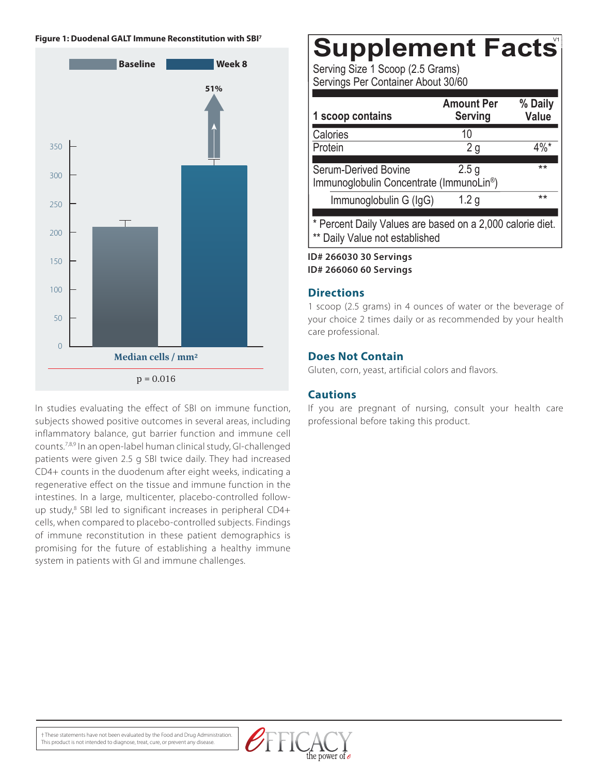#### **Figure 1: Duodenal GALT Immune Reconstitution with SBI7**



In studies evaluating the effect of SBI on immune function, subjects showed positive outcomes in several areas, including inflammatory balance, gut barrier function and immune cell counts.7,8,9 In an open-label human clinical study, GI-challenged patients were given 2.5 g SBI twice daily. They had increased CD4+ counts in the duodenum after eight weeks, indicating a regenerative effect on the tissue and immune function in the intestines. In a large, multicenter, placebo-controlled followup study,<sup>8</sup> SBI led to significant increases in peripheral CD4+ cells, when compared to placebo-controlled subjects. Findings of immune reconstitution in these patient demographics is promising for the future of establishing a healthy immune system in patients with GI and immune challenges.

# **Supplement Facts**

0000000000000

Serving Size 1 Scoop (2.5 Grams) Servings Per Container About 30/60

| 1 scoop contains                                                                         | <b>Amount Per</b><br><b>Serving</b> | % Daily<br>Value |
|------------------------------------------------------------------------------------------|-------------------------------------|------------------|
| Calories                                                                                 | 10                                  |                  |
| Protein                                                                                  | 2g                                  | 4%*              |
| <b>Serum-Derived Bovine</b><br>Immunoglobulin Concentrate (ImmunoLin <sup>®</sup> )      | 2.5 <sub>g</sub>                    | **               |
| Immunoglobulin G (IgG)                                                                   | 1.2 <sub>q</sub>                    | **               |
| * Percent Daily Values are based on a 2,000 calorie diet.<br>Daily Value not established |                                     |                  |

**ID# 266030 30 Servings ID# 266060 60 Servings**

## **Directions**

1 scoop (2.5 grams) in 4 ounces of water or the beverage of your choice 2 times daily or as recommended by your health care professional.

# **Does Not Contain**

Gluten, corn, yeast, artificial colors and flavors.

# **Cautions**

If you are pregnant of nursing, consult your health care professional before taking this product.

† These statements have not been evaluated by the Food and Drug Administration. This product is not intended to diagnose, treat, cure, or prevent any disease.